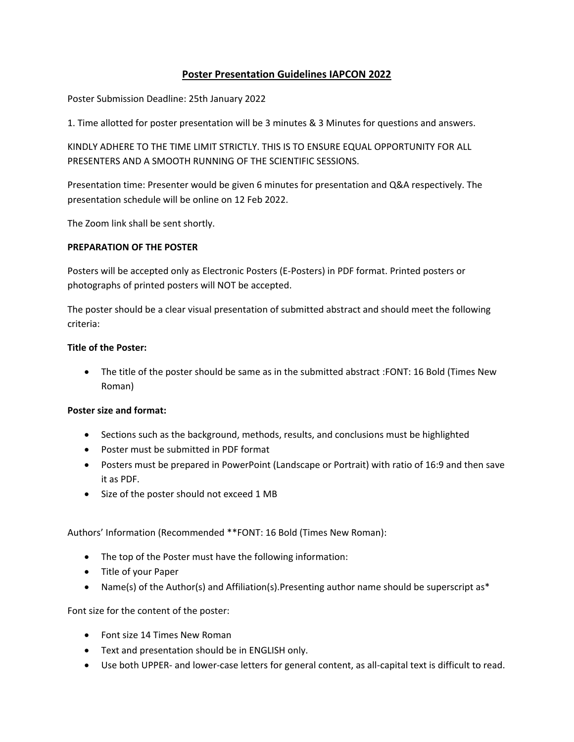# **Poster Presentation Guidelines IAPCON 2022**

Poster Submission Deadline: 25th January 2022

1. Time allotted for poster presentation will be 3 minutes & 3 Minutes for questions and answers.

KINDLY ADHERE TO THE TIME LIMIT STRICTLY. THIS IS TO ENSURE EQUAL OPPORTUNITY FOR ALL PRESENTERS AND A SMOOTH RUNNING OF THE SCIENTIFIC SESSIONS.

Presentation time: Presenter would be given 6 minutes for presentation and Q&A respectively. The presentation schedule will be online on 12 Feb 2022.

The Zoom link shall be sent shortly.

#### **PREPARATION OF THE POSTER**

Posters will be accepted only as Electronic Posters (E-Posters) in PDF format. Printed posters or photographs of printed posters will NOT be accepted.

The poster should be a clear visual presentation of submitted abstract and should meet the following criteria:

### **Title of the Poster:**

 The title of the poster should be same as in the submitted abstract :FONT: 16 Bold (Times New Roman)

#### **Poster size and format:**

- Sections such as the background, methods, results, and conclusions must be highlighted
- Poster must be submitted in PDF format
- Posters must be prepared in PowerPoint (Landscape or Portrait) with ratio of 16:9 and then save it as PDF.
- Size of the poster should not exceed 1 MB

Authors' Information (Recommended \*\*FONT: 16 Bold (Times New Roman):

- The top of the Poster must have the following information:
- Title of your Paper
- Name(s) of the Author(s) and Affiliation(s). Presenting author name should be superscript as\*

Font size for the content of the poster:

- Font size 14 Times New Roman
- Text and presentation should be in ENGLISH only.
- Use both UPPER- and lower-case letters for general content, as all-capital text is difficult to read.